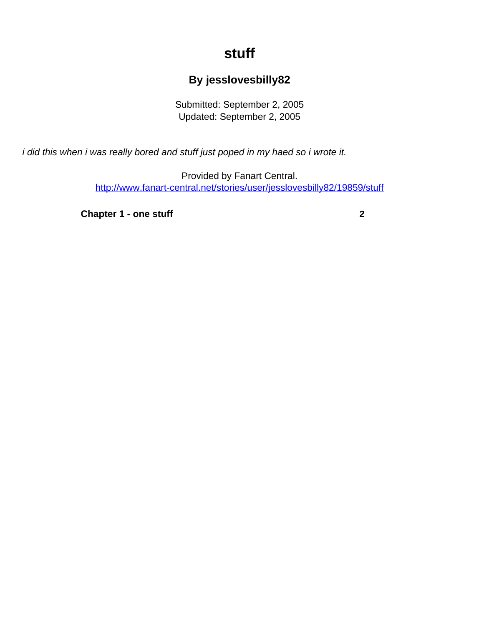## **stuff**

## **By jesslovesbilly82**

Submitted: September 2, 2005 Updated: September 2, 2005

<span id="page-0-0"></span>i did this when i was really bored and stuff just poped in my haed so i wrote it.

Provided by Fanart Central. [http://www.fanart-central.net/stories/user/jesslovesbilly82/19859/stuff](#page-0-0)

**[Chapter 1 - one stuff](#page-1-0)** [2](#page-1-0)